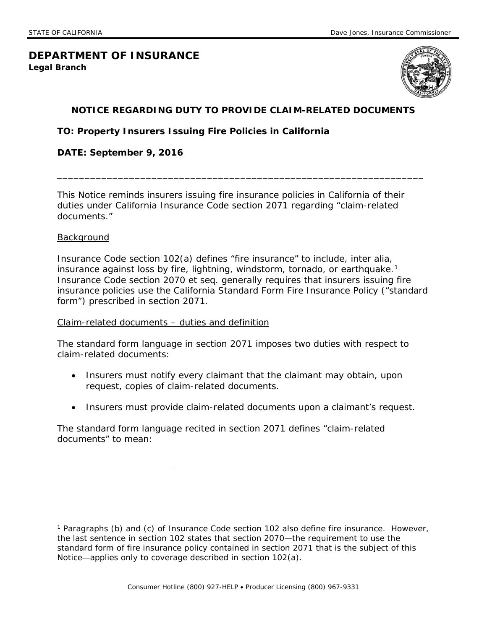# **DEPARTMENT OF INSURANCE Legal Branch**



# **NOTICE REGARDING DUTY TO PROVIDE CLAIM-RELATED DOCUMENTS**

\_\_\_\_\_\_\_\_\_\_\_\_\_\_\_\_\_\_\_\_\_\_\_\_\_\_\_\_\_\_\_\_\_\_\_\_\_\_\_\_\_\_\_\_\_\_\_\_\_\_\_\_\_\_\_\_\_\_\_\_\_\_\_\_\_\_

## **TO: Property Insurers Issuing Fire Policies in California**

#### **DATE: September 9, 2016**

 This Notice reminds insurers issuing fire insurance policies in California of their duties under California Insurance Code section 2071 regarding "claim-related documents."<br>Background

 $\overline{a}$ 

insurance against loss by fire, lightning, windstorm, tornado, or earthquake.<sup>1</sup> Insurance Code section 2070 *et seq.* generally requires that insurers issuing fire Insurance Code section 102(a) defines "fire insurance" to include, *inter alia,*  insurance policies use the California Standard Form Fire Insurance Policy ("standard form") prescribed in section 2071.

#### Claim-related documents – duties and definition

The standard form language in section 2071 imposes two duties with respect to claim-related documents:

- Insurers must *notify* every claimant that the claimant may obtain, upon request, copies of claim-related documents.
- Insurers must *provide* claim-related documents upon a claimant's request.

 The standard form language recited in section 2071 defines "claim-related documents" to mean:

<span id="page-0-0"></span> 1 Paragraphs (b) and (c) of Insurance Code section 102 also define fire insurance. However, the last sentence in section 102 states that section 2070—the requirement to use the standard form of fire insurance policy contained in section 2071 that is the subject of this Notice—applies only to coverage described in section 102(a).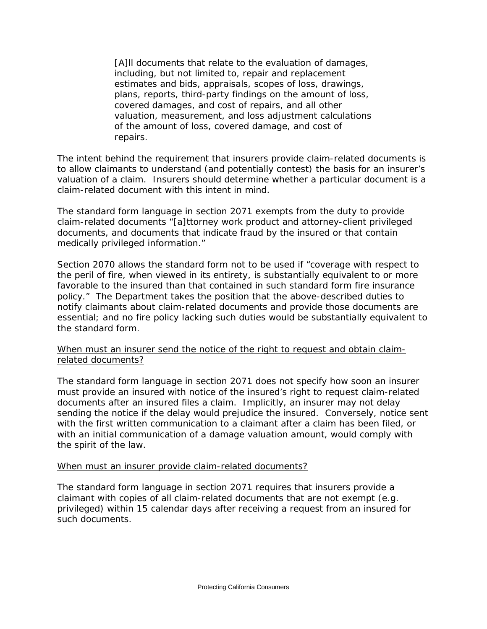[A]ll documents that relate to the evaluation of damages, including, but not limited to, repair and replacement estimates and bids, appraisals, scopes of loss, drawings, plans, reports, third-party findings on the amount of loss, covered damages, and cost of repairs, and all other valuation, measurement, and loss adjustment calculations of the amount of loss, covered damage, and cost of repairs.

 valuation of a claim. Insurers should determine whether a particular document is a The intent behind the requirement that insurers provide claim-related documents is to allow claimants to understand (and potentially contest) the basis for an insurer's claim-related document with this intent in mind.

The standard form language in section 2071 exempts from the duty to provide claim-related documents "[a]ttorney work product and attorney-client privileged documents, and documents that indicate fraud by the insured or that contain medically privileged information."

 favorable to the insured than that contained in such standard form fire insurance policy." The Department takes the position that the above-described duties to essential; and no fire policy lacking such duties would be substantially equivalent to Section 2070 allows the standard form not to be used if "coverage with respect to the peril of fire, when viewed in its entirety, is substantially equivalent to or more notify claimants about claim-related documents and provide those documents are the standard form.

 When must an insurer send the notice of the right to request and obtain claimrelated documents?

 documents after an insured files a claim. Implicitly, an insurer may not delay sending the notice if the delay would prejudice the insured. Conversely, notice sent with the first written communication to a claimant after a claim has been filed, or The standard form language in section 2071 does not specify how soon an insurer must provide an insured with notice of the insured's right to request claim-related with an initial communication of a damage valuation amount, would comply with the spirit of the law.

## When must an insurer provide claim-related documents?

 claimant with copies of all claim-related documents that are not exempt (e.g. The standard form language in section 2071 requires that insurers provide a privileged) *within 15 calendar days* after receiving a request from an insured for such documents.